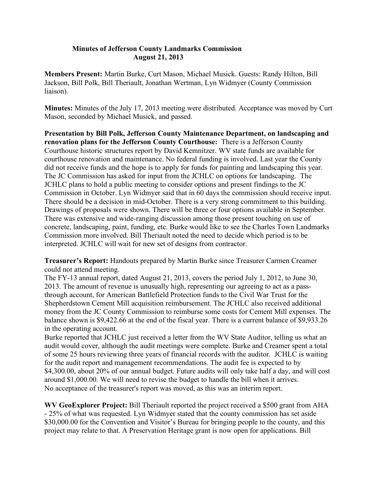## **Minutes of Jefferson County Landmarks Commission August 21, 2013**

**Members Present:** Martin Burke, Curt Mason, Michael Musick. Guests: Randy Hilton, Bill Jackson, Bill Polk, Bill Theriault, Jonathan Wertman, Lyn Widmyer (County Commission liaison).

**Minutes:** Minutes of the July 17, 2013 meeting were distributed. Acceptance was moved by Curt Mason, seconded by Michael Musick, and passed.

**Presentation by Bill Polk, Jefferson County Maintenance Department, on landscaping and renovation plans for the Jefferson County Courthouse:** There is a Jefferson County Courthouse historic structures report by David Kemnitzer. WV state funds are available for courthouse renovation and maintenance. No federal funding is involved. Last year the County did not receive funds and the hope is to apply for funds for painting and landscaping this year. The JC Commission has asked for input from the JCHLC on options for landscaping. The JCHLC plans to hold a public meeting to consider options and present findings to the JC Commission in October. Lyn Widmyer said that in 60 days the commission should receive input. There should be a decision in mid-October. There is a very strong commitment to this building. Drawings of proposals were shown. There will be three or four options available in September. There was extensive and wide-ranging discussion among those present touching on use of concrete, landscaping, paint, funding, etc. Burke would like to see the Charles Town Landmarks Commission more involved. Bill Theriault noted the need to decide which period is to be interpreted. JCHLC will wait for new set of designs from contractor.

**Treasurer's Report:** Handouts prepared by Martin Burke since Treasurer Carmen Creamer could not attend meeting.

The FY-13 annual report, dated August 21, 2013, covers the period July 1, 2012, to June 30, 2013. The amount of revenue is unusually high, representing our agreeing to act as a passthrough account, for American Battlefield Protection funds to the Civil War Trust for the Shepherdstown Cement Mill acquisition reimbursement. The JCHLC also received additional money from the JC County Commission to reimburse some costs for Cement Mill expenses. The balance shown is \$9,422.66 at the end of the fiscal year. There is a current balance of \$9,933.26 in the operating account.

Burke reported that JCHLC just received a letter from the WV State Auditor, telling us what an audit would cover, although the audit meetings were complete. Burke and Creamer spent a total of some 25 hours reviewing three years of financial records with the auditor. JCHLC is waiting for the audit report and management recommendations. The audit fee is expected to by \$4,300.00, about 20% of our annual budget. Future audits will only take half a day, and will cost around \$1,000.00. We will need to revise the budget to handle the bill when it arrives. No acceptance of the treasurer's report was moved, as this was an interim report.

**WV GeoExplorer Project:** Bill Theriault reported the project received a \$500 grant from AHA - 25% of what was requested. Lyn Widmyer stated that the county commission has set aside \$30,000.00 for the Convention and Visitor's Bureau for bringing people to the county, and this project may relate to that. A Preservation Heritage grant is now open for applications. Bill